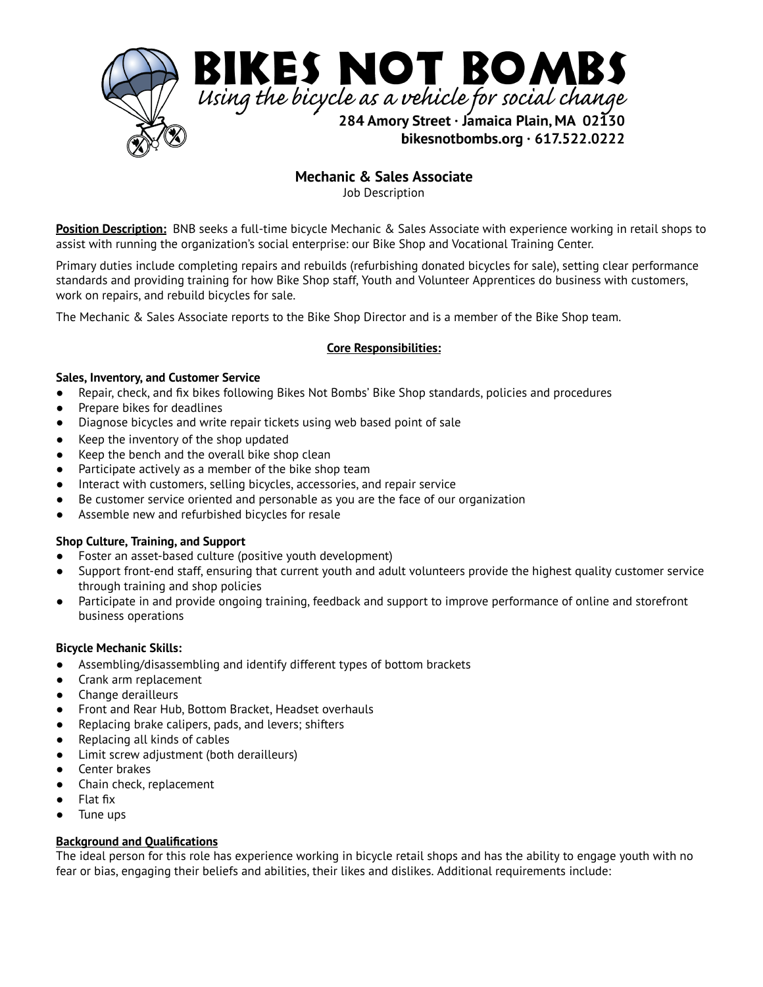

 **Mechanic & Sales Associate** 

Job Description

 **Position Description:** BNB seeks a full-time bicycle Mechanic & Sales Associate with experience working in retail shops to assist with running the organization's social enterprise: our Bike Shop and Vocational Training Center.

 Primary duties include completing repairs and rebuilds (refurbishing donated bicycles for sale), setting clear performance standards and providing training for how Bike Shop staff, Youth and Volunteer Apprentices do business with customers, work on repairs, and rebuild bicycles for sale.

The Mechanic & Sales Associate reports to the Bike Shop Director and is a member of the Bike Shop team.

## **Core Responsibilities:**

#### **Sales, Inventory, and Customer Service**

- Repair, check, and fix bikes following Bikes Not Bombs' Bike Shop standards, policies and procedures
- Prepare bikes for deadlines
- Diagnose bicycles and write repair tickets using web based point of sale
- Keep the inventory of the shop updated
- Keep the bench and the overall bike shop clean
- Participate actively as a member of the bike shop team
- Interact with customers, selling bicycles, accessories, and repair service
- Be customer service oriented and personable as you are the face of our organization
- Assemble new and refurbished bicycles for resale

## **Shop Culture, Training, and Support**

- Foster an asset-based culture (positive youth development)
- Support front-end staff, ensuring that current youth and adult volunteers provide the highest quality customer service through training and shop policies
- Participate in and provide ongoing training, feedback and support to improve performance of online and storefront business operations

## **Bicycle Mechanic Skills:**

- Assembling/disassembling and identify different types of bottom brackets
- Crank arm replacement
- Change derailleurs
- Front and Rear Hub, Bottom Bracket, Headset overhauls
- Replacing brake calipers, pads, and levers; shifters
- Replacing all kinds of cables
- Limit screw adjustment (both derailleurs)
- Center brakes
- Chain check, replacement
- Flat fix
- Tune ups

## **Background and Qualifications**

 The ideal person for this role has experience working in bicycle retail shops and has the ability to engage youth with no fear or bias, engaging their beliefs and abilities, their likes and dislikes. Additional requirements include: